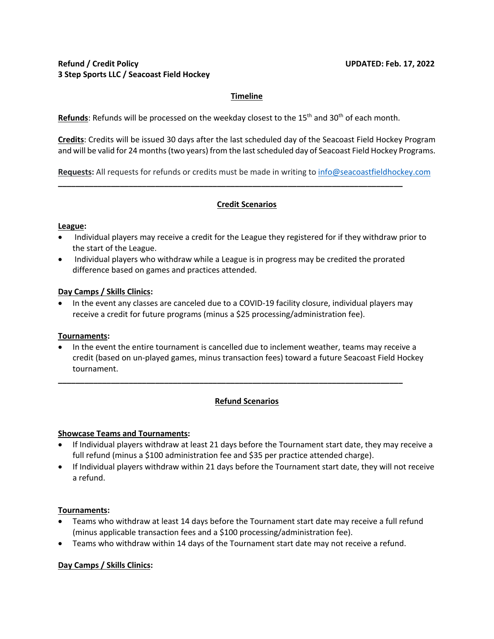# **Timeline**

**Refunds**: Refunds will be processed on the weekday closest to the 15th and 30th of each month.

**\_\_\_\_\_\_\_\_\_\_\_\_\_\_\_\_\_\_\_\_\_\_\_\_\_\_\_\_\_\_\_\_\_\_\_\_\_\_\_\_\_\_\_\_\_\_\_\_\_\_\_\_\_\_\_\_\_\_\_\_\_\_\_\_\_\_\_\_\_\_\_\_\_\_\_\_\_\_** 

**Credits**: Credits will be issued 30 days after the last scheduled day of the Seacoast Field Hockey Program and will be valid for 24 months (two years) from the last scheduled day of Seacoast Field Hockey Programs.

**Requests:** All requests for refunds or credits must be made in writing to info@seacoastfieldhockey.com

# **Credit Scenarios**

#### **League:**

- Individual players may receive a credit for the League they registered for if they withdraw prior to the start of the League.
- Individual players who withdraw while a League is in progress may be credited the prorated difference based on games and practices attended.

#### **Day Camps / Skills Clinics:**

• In the event any classes are canceled due to a COVID-19 facility closure, individual players may receive a credit for future programs (minus a \$25 processing/administration fee).

#### **Tournaments:**

• In the event the entire tournament is cancelled due to inclement weather, teams may receive a credit (based on un-played games, minus transaction fees) toward a future Seacoast Field Hockey tournament.

**\_\_\_\_\_\_\_\_\_\_\_\_\_\_\_\_\_\_\_\_\_\_\_\_\_\_\_\_\_\_\_\_\_\_\_\_\_\_\_\_\_\_\_\_\_\_\_\_\_\_\_\_\_\_\_\_\_\_\_\_\_\_\_\_\_\_\_\_\_\_\_\_\_\_\_\_\_\_** 

## **Refund Scenarios**

## **Showcase Teams and Tournaments:**

- If Individual players withdraw at least 21 days before the Tournament start date, they may receive a full refund (minus a \$100 administration fee and \$35 per practice attended charge).
- If Individual players withdraw within 21 days before the Tournament start date, they will not receive a refund.

## **Tournaments:**

- Teams who withdraw at least 14 days before the Tournament start date may receive a full refund (minus applicable transaction fees and a \$100 processing/administration fee).
- Teams who withdraw within 14 days of the Tournament start date may not receive a refund.

## **Day Camps / Skills Clinics:**